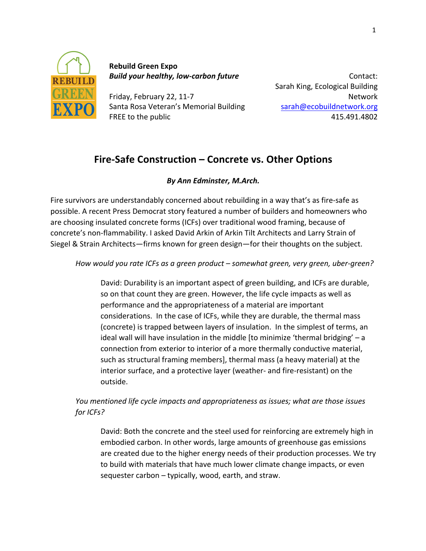

**Rebuild Green Expo** *Build your healthy, low-carbon future*

Friday, February 22, 11-7 Santa Rosa Veteran's Memorial Building FREE to the public

Contact: Sarah King, Ecological Building Network sarah@ecobuildnetwork.org 415.491.4802

# Fire-Safe Construction – Concrete vs. Other Options

## *By Ann Edminster, M.Arch.*

Fire survivors are understandably concerned about rebuilding in a way that's as fire-safe as possible. A recent Press Democrat story featured a number of builders and homeowners who are choosing insulated concrete forms (ICFs) over traditional wood framing, because of concrete's non-flammability. I asked David Arkin of Arkin Tilt Architects and Larry Strain of Siegel & Strain Architects—firms known for green design—for their thoughts on the subject.

How would you rate ICFs as a green product – somewhat green, very green, uber-green?

David: Durability is an important aspect of green building, and ICFs are durable, so on that count they are green. However, the life cycle impacts as well as performance and the appropriateness of a material are important considerations. In the case of ICFs, while they are durable, the thermal mass (concrete) is trapped between layers of insulation. In the simplest of terms, an ideal wall will have insulation in the middle  $[$ to minimize 'thermal bridging' – a connection from exterior to interior of a more thermally conductive material, such as structural framing members], thermal mass (a heavy material) at the interior surface, and a protective layer (weather- and fire-resistant) on the outside.

*You mentioned life cycle impacts and appropriateness as issues; what are those issues for ICFs?*

David: Both the concrete and the steel used for reinforcing are extremely high in embodied carbon. In other words, large amounts of greenhouse gas emissions are created due to the higher energy needs of their production processes. We try to build with materials that have much lower climate change impacts, or even sequester carbon  $-$  typically, wood, earth, and straw.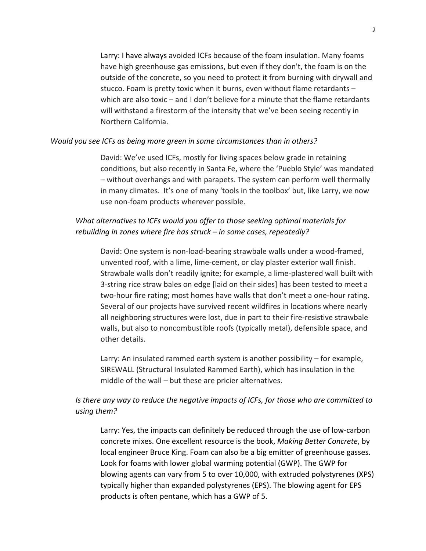Larry: I have always avoided ICFs because of the foam insulation. Many foams have high greenhouse gas emissions, but even if they don't, the foam is on the outside of the concrete, so you need to protect it from burning with drywall and stucco. Foam is pretty toxic when it burns, even without flame retardants  $$ which are also toxic – and I don't believe for a minute that the flame retardants will withstand a firestorm of the intensity that we've been seeing recently in Northern California. 

#### *Would you see ICFs as being more green in some circumstances than in others?*

David: We've used ICFs, mostly for living spaces below grade in retaining conditions, but also recently in Santa Fe, where the 'Pueblo Style' was mandated – without overhangs and with parapets. The system can perform well thermally in many climates. It's one of many 'tools in the toolbox' but, like Larry, we now use non-foam products wherever possible.

### *What alternatives to ICFs would you offer to those seeking optimal materials for rebuilding in zones where fire has struck* – *in some cases, repeatedly?*

David: One system is non-load-bearing strawbale walls under a wood-framed, unvented roof, with a lime, lime-cement, or clay plaster exterior wall finish. Strawbale walls don't readily ignite; for example, a lime-plastered wall built with 3-string rice straw bales on edge [laid on their sides] has been tested to meet a two-hour fire rating; most homes have walls that don't meet a one-hour rating. Several of our projects have survived recent wildfires in locations where nearly all neighboring structures were lost, due in part to their fire-resistive strawbale walls, but also to noncombustible roofs (typically metal), defensible space, and other details.

Larry: An insulated rammed earth system is another possibility  $-$  for example, SIREWALL (Structural Insulated Rammed Earth), which has insulation in the middle of the wall  $-$  but these are pricier alternatives.

### Is there any way to reduce the negative impacts of ICFs, for those who are committed to *using them?*

Larry: Yes, the impacts can definitely be reduced through the use of low-carbon concrete mixes. One excellent resource is the book, *Making Better Concrete*, by local engineer Bruce King. Foam can also be a big emitter of greenhouse gasses. Look for foams with lower global warming potential (GWP). The GWP for blowing agents can vary from 5 to over 10,000, with extruded polystyrenes (XPS) typically higher than expanded polystyrenes (EPS). The blowing agent for EPS products is often pentane, which has a GWP of 5.